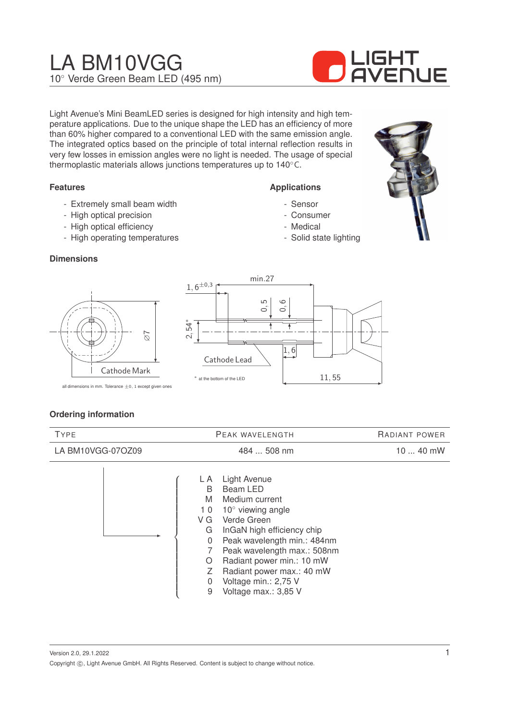# LA BM10VGG 10◦ Verde Green Beam LED (495 nm)



Light Avenue's Mini BeamLED series is designed for high intensity and high temperature applications. Due to the unique shape the LED has an efficiency of more than 60% higher compared to a conventional LED with the same emission angle. The integrated optics based on the principle of total internal reflection results in very few losses in emission angles were no light is needed. The usage of special thermoplastic materials allows junctions temperatures up to 140◦C.

## **Features**

- Extremely small beam width
- High optical precision
- High optical efficiency
- High operating temperatures

#### **Dimensions**





**Applications** - Sensor - Consumer - Medical

- Solid state lighting

all dimensions in mm. Tolerance  $\pm 0$ , 1 except given ones

#### **Ordering information**

| <b>TYPE</b>       | PEAK WAVELENGTH                                                                                                                                                                                                                                                                                                                                           | RADIANT POWER |
|-------------------|-----------------------------------------------------------------------------------------------------------------------------------------------------------------------------------------------------------------------------------------------------------------------------------------------------------------------------------------------------------|---------------|
| LA BM10VGG-07OZ09 | 484  508 nm                                                                                                                                                                                                                                                                                                                                               | 10  40 mW     |
|                   | Light Avenue<br>L A<br>Beam LED<br>B<br>Medium current<br>M<br>$10^{\circ}$ viewing angle<br>10<br>Verde Green<br>V G<br>InGaN high efficiency chip<br>G<br>Peak wavelength min.: 484nm<br>0<br>Peak wavelength max.: 508nm<br>Radiant power min.: 10 mW<br>O<br>Radiant power max.: 40 mW<br>Ζ<br>Voltage min.: 2,75 V<br>0<br>9<br>Voltage max.: 3,85 V |               |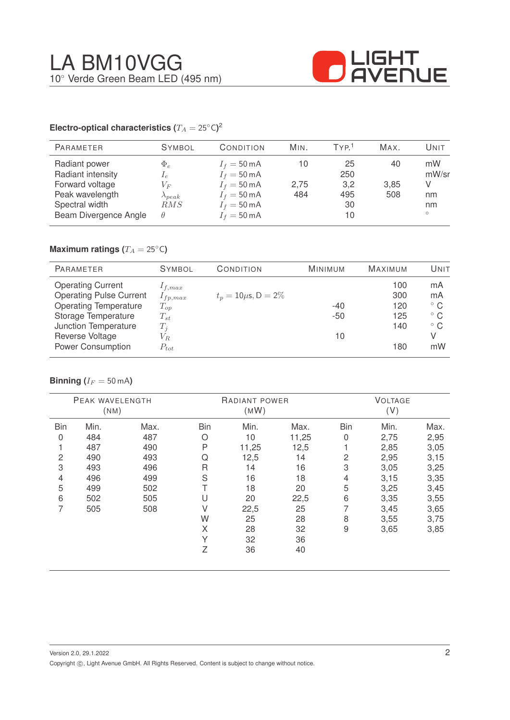

#### **Electro-optical characteristics (T\_A = 25^{\circ} \text{C}</math>)<sup>2</sup>**

| <b>PARAMETER</b>                                                                                                    | <b>SYMBOL</b>                                                | CONDITION                                                                                                                                          | MIN.              | TYP <sup>1</sup>                    | MAX.              | Unit                               |
|---------------------------------------------------------------------------------------------------------------------|--------------------------------------------------------------|----------------------------------------------------------------------------------------------------------------------------------------------------|-------------------|-------------------------------------|-------------------|------------------------------------|
| Radiant power<br>Radiant intensity<br>Forward voltage<br>Peak wavelength<br>Spectral width<br>Beam Divergence Angle | $\Phi_e$<br>$I_e$<br>$V_{F}$<br>$\lambda_{peak}$<br>RMS<br>θ | $I_f = 50 \text{ mA}$<br>$I_f = 50 \text{ mA}$<br>$I_f = 50 \text{ mA}$<br>$I_f = 50 \text{ mA}$<br>$I_f = 50 \text{ mA}$<br>$I_f = 50 \text{ mA}$ | 10<br>2,75<br>484 | 25<br>250<br>3,2<br>495<br>30<br>10 | 40<br>3.85<br>508 | mW<br>mW/sr<br>nm<br>nm<br>$\circ$ |

# **Maximum ratings (** $T_A = 25$ °C)

| <b>PARAMETER</b>               | <b>SYMBOL</b> | CONDITION                 | <b>MINIMUM</b> | <b>MAXIMUM</b> | UNIT         |
|--------------------------------|---------------|---------------------------|----------------|----------------|--------------|
| <b>Operating Current</b>       | $1_{f,max}$   |                           |                | 100            | mA           |
| <b>Operating Pulse Current</b> | $I_{fp,max}$  | $t_p = 10 \mu s, D = 2\%$ |                | 300            | mA           |
| <b>Operating Temperature</b>   | $T_{op}$      |                           | $-40$          | 120            | $^{\circ}$ C |
| Storage Temperature            | $T_{st}$      |                           | $-50$          | 125            | $^{\circ}$ C |
| Junction Temperature           | $T_i$         |                           |                | 140            | $^{\circ}$ C |
| Reverse Voltage                | $V_{R.}$      |                           | 10             |                | V            |
| <b>Power Consumption</b>       | $P_{tot}$     |                           |                | 180            | mW           |

## **Binning** ( $I_F = 50$  mA)

|                | PEAK WAVELENGTH<br>(MM) |      |            | RADIANT POWER<br>(MW) |       |                | <b>VOLTAGE</b><br>(V) |      |
|----------------|-------------------------|------|------------|-----------------------|-------|----------------|-----------------------|------|
| <b>Bin</b>     | Min.                    | Max. | <b>Bin</b> | Min.                  | Max.  | <b>Bin</b>     | Min.                  | Max. |
| 0              | 484                     | 487  | Ο          | 10                    | 11,25 | 0              | 2,75                  | 2,95 |
|                | 487                     | 490  | P          | 11,25                 | 12,5  |                | 2,85                  | 3,05 |
| $\overline{c}$ | 490                     | 493  | Q          | 12,5                  | 14    | $\overline{c}$ | 2,95                  | 3,15 |
| 3              | 493                     | 496  | R          | 14                    | 16    | 3              | 3,05                  | 3,25 |
| 4              | 496                     | 499  | S          | 16                    | 18    | 4              | 3,15                  | 3,35 |
| 5              | 499                     | 502  |            | 18                    | 20    | 5              | 3,25                  | 3,45 |
| 6              | 502                     | 505  | U          | 20                    | 22,5  | 6              | 3,35                  | 3,55 |
| 7              | 505                     | 508  | V          | 22,5                  | 25    | 7              | 3,45                  | 3,65 |
|                |                         |      | W          | 25                    | 28    | 8              | 3,55                  | 3,75 |
|                |                         |      | X          | 28                    | 32    | $\overline{9}$ | 3,65                  | 3,85 |
|                |                         |      | Υ          | 32                    | 36    |                |                       |      |
|                |                         |      | Z          | 36                    | 40    |                |                       |      |
|                |                         |      |            |                       |       |                |                       |      |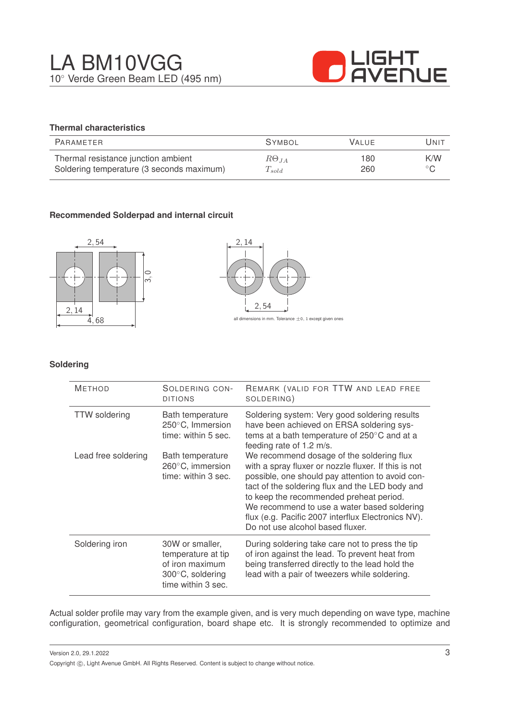

# **Thermal characteristics**

| PARAMETER                                 | <b>SYMBOL</b>  | <b>VALUE</b> | Unit             |
|-------------------------------------------|----------------|--------------|------------------|
| Thermal resistance junction ambient       | $R\Theta_{JA}$ | 180          | K/W              |
| Soldering temperature (3 seconds maximum) | $T_{solid}$    | 260          | $\circ$ $\Gamma$ |

## **Recommended Solderpad and internal circuit**





#### **Soldering**

| <b>METHOD</b>        | SOLDERING CON-<br><b>DITIONS</b>                                                                   | REMARK (VALID FOR TTW AND LEAD FREE<br>SOLDERING)                                                                                                                                                                                                                                                                                                                                            |
|----------------------|----------------------------------------------------------------------------------------------------|----------------------------------------------------------------------------------------------------------------------------------------------------------------------------------------------------------------------------------------------------------------------------------------------------------------------------------------------------------------------------------------------|
| <b>TTW</b> soldering | Bath temperature<br>250°C, Immersion<br>time: within 5 sec.                                        | Soldering system: Very good soldering results<br>have been achieved on ERSA soldering sys-<br>tems at a bath temperature of 250°C and at a<br>feeding rate of 1.2 m/s.                                                                                                                                                                                                                       |
| Lead free soldering  | Bath temperature<br>260°C, immersion<br>time: within 3 sec.                                        | We recommend dosage of the soldering flux<br>with a spray fluxer or nozzle fluxer. If this is not<br>possible, one should pay attention to avoid con-<br>tact of the soldering flux and the LED body and<br>to keep the recommended preheat period.<br>We recommend to use a water based soldering<br>flux (e.g. Pacific 2007 interflux Electronics NV).<br>Do not use alcohol based fluxer. |
| Soldering iron       | 30W or smaller,<br>temperature at tip<br>of iron maximum<br>300°C, soldering<br>time within 3 sec. | During soldering take care not to press the tip<br>of iron against the lead. To prevent heat from<br>being transferred directly to the lead hold the<br>lead with a pair of tweezers while soldering.                                                                                                                                                                                        |

Actual solder profile may vary from the example given, and is very much depending on wave type, machine configuration, geometrical configuration, board shape etc. It is strongly recommended to optimize and

Version 2.0, 29.1.2022 Copyright ©, Light Avenue GmbH. All Rights Reserved. Content is subject to change without notice.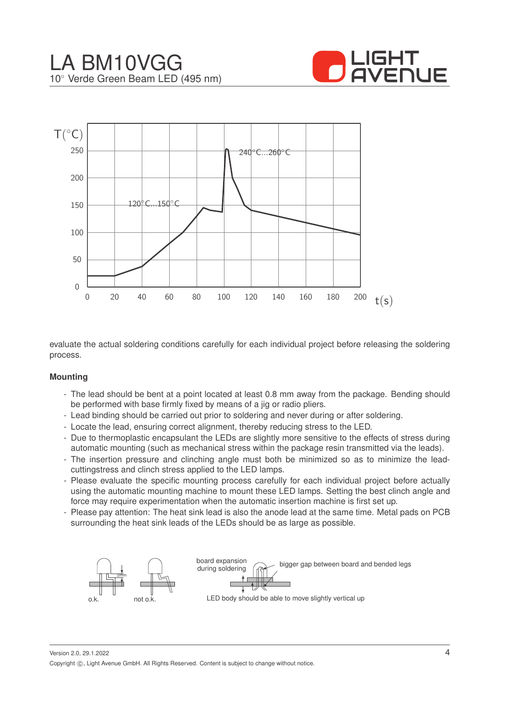



evaluate the actual soldering conditions carefully for each individual project before releasing the soldering process.

#### **Mounting**

- The lead should be bent at a point located at least 0.8 mm away from the package. Bending should be performed with base firmly fixed by means of a jig or radio pliers.
- Lead binding should be carried out prior to soldering and never during or after soldering.
- Locate the lead, ensuring correct alignment, thereby reducing stress to the LED.
- Due to thermoplastic encapsulant the LEDs are slightly more sensitive to the effects of stress during automatic mounting (such as mechanical stress within the package resin transmitted via the leads).
- The insertion pressure and clinching angle must both be minimized so as to minimize the leadcuttingstress and clinch stress applied to the LED lamps.
- Please evaluate the specific mounting process carefully for each individual project before actually using the automatic mounting machine to mount these LED lamps. Setting the best clinch angle and force may require experimentation when the automatic insertion machine is first set up.
- Please pay attention: The heat sink lead is also the anode lead at the same time. Metal pads on PCB surrounding the heat sink leads of the LEDs should be as large as possible.



Version 2.0, 29.1.2022 Copyright ©, Light Avenue GmbH. All Rights Reserved. Content is subject to change without notice.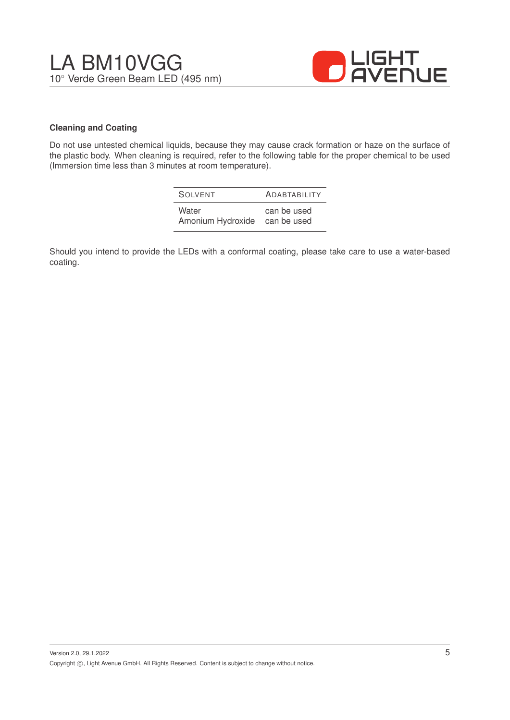

#### **Cleaning and Coating**

Do not use untested chemical liquids, because they may cause crack formation or haze on the surface of the plastic body. When cleaning is required, refer to the following table for the proper chemical to be used (Immersion time less than 3 minutes at room temperature).

| SOIVENT           | <b>ADABTABILITY</b> |
|-------------------|---------------------|
| Water             | can be used         |
| Amonium Hydroxide | can be used         |

Should you intend to provide the LEDs with a conformal coating, please take care to use a water-based coating.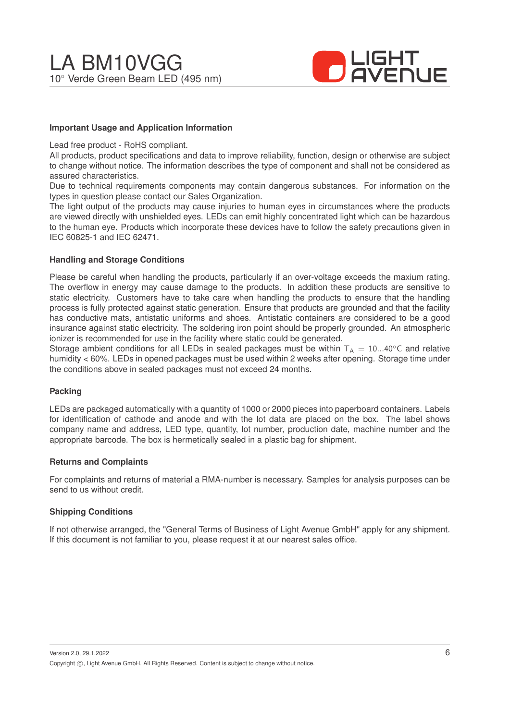

#### **Important Usage and Application Information**

Lead free product - RoHS compliant.

All products, product specifications and data to improve reliability, function, design or otherwise are subject to change without notice. The information describes the type of component and shall not be considered as assured characteristics.

Due to technical requirements components may contain dangerous substances. For information on the types in question please contact our Sales Organization.

The light output of the products may cause injuries to human eyes in circumstances where the products are viewed directly with unshielded eyes. LEDs can emit highly concentrated light which can be hazardous to the human eye. Products which incorporate these devices have to follow the safety precautions given in IEC 60825-1 and IEC 62471.

#### **Handling and Storage Conditions**

Please be careful when handling the products, particularly if an over-voltage exceeds the maxium rating. The overflow in energy may cause damage to the products. In addition these products are sensitive to static electricity. Customers have to take care when handling the products to ensure that the handling process is fully protected against static generation. Ensure that products are grounded and that the facility has conductive mats, antistatic uniforms and shoes. Antistatic containers are considered to be a good insurance against static electricity. The soldering iron point should be properly grounded. An atmospheric ionizer is recommended for use in the facility where static could be generated.

Storage ambient conditions for all LEDs in sealed packages must be within  $T_A = 10...40^\circ$ C and relative humidity < 60%. LEDs in opened packages must be used within 2 weeks after opening. Storage time under the conditions above in sealed packages must not exceed 24 months.

#### **Packing**

LEDs are packaged automatically with a quantity of 1000 or 2000 pieces into paperboard containers. Labels for identification of cathode and anode and with the lot data are placed on the box. The label shows company name and address, LED type, quantity, lot number, production date, machine number and the appropriate barcode. The box is hermetically sealed in a plastic bag for shipment.

#### **Returns and Complaints**

For complaints and returns of material a RMA-number is necessary. Samples for analysis purposes can be send to us without credit.

#### **Shipping Conditions**

If not otherwise arranged, the "General Terms of Business of Light Avenue GmbH" apply for any shipment. If this document is not familiar to you, please request it at our nearest sales office.